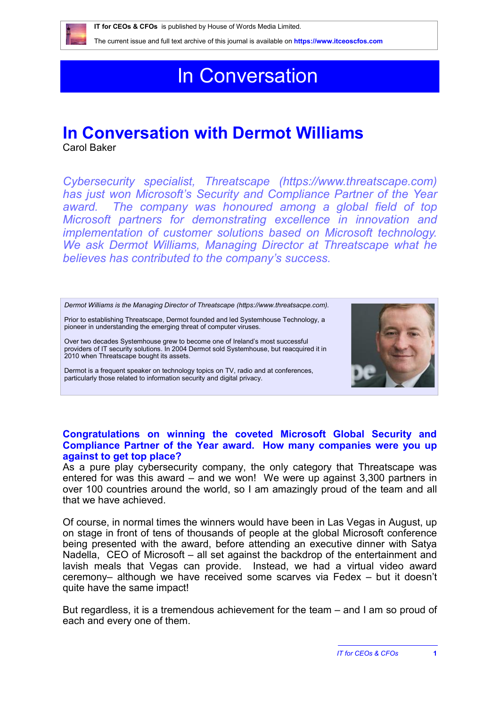

# In Conversation

## **In Conversation with Dermot Williams**

Carol Baker

*Cybersecurity specialist, Threatscape [\(https://www.threatscape.com\)](https://www.threatscape.com) has just won Microsoft's Security and Compliance Partner of the Year*  award. The company was honoured among a global field of top *Microsoft partners for demonstrating excellence in innovation and implementation of customer solutions based on Microsoft technology. We ask Dermot Williams, Managing Director at Threatscape what he believes has contributed to the company's success.*

*Dermot Williams is the Managing Director of Threatscape [\(https://www.threatsacpe.com\)](https://www.threatsacpe.com).*

Prior to establishing Threatscape, Dermot founded and led Systemhouse Technology, a pioneer in understanding the emerging threat of computer viruses.

Over two decades Systemhouse grew to become one of Ireland's most successful providers of IT security solutions. In 2004 Dermot sold Systemhouse, but reacquired it in 2010 when Threatscape bought its assets.

Dermot is a frequent speaker on technology topics on TV, radio and at conferences, particularly those related to information security and digital privacy.



#### **Congratulations on winning the coveted Microsoft Global Security and Compliance Partner of the Year award. How many companies were you up against to get top place?**

As a pure play cybersecurity company, the only category that Threatscape was entered for was this award – and we won! We were up against 3,300 partners in over 100 countries around the world, so I am amazingly proud of the team and all that we have achieved.

Of course, in normal times the winners would have been in Las Vegas in August, up on stage in front of tens of thousands of people at the global Microsoft conference being presented with the award, before attending an executive dinner with Satya Nadella, CEO of Microsoft – all set against the backdrop of the entertainment and lavish meals that Vegas can provide. Instead, we had a virtual video award ceremony– although we have received some scarves via Fedex – but it doesn't quite have the same impact!

But regardless, it is a tremendous achievement for the team – and I am so proud of each and every one of them.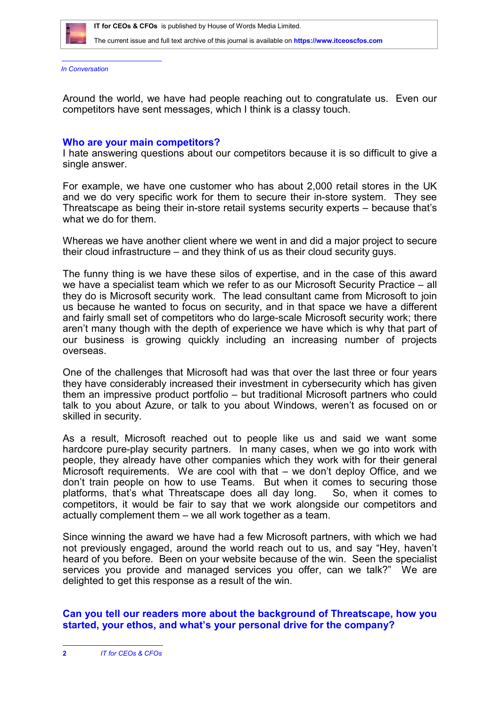

*In Conversation*

Around the world, we have had people reaching out to congratulate us. Even our competitors have sent messages, which I think is a classy touch.

#### **Who are your main competitors?**

I hate answering questions about our competitors because it is so difficult to give a single answer.

For example, we have one customer who has about 2,000 retail stores in the UK and we do very specific work for them to secure their in-store system. They see Threatscape as being their in-store retail systems security experts – because that's what we do for them.

Whereas we have another client where we went in and did a major project to secure their cloud infrastructure – and they think of us as their cloud security guys.

The funny thing is we have these silos of expertise, and in the case of this award we have a specialist team which we refer to as our Microsoft Security Practice – all they do is Microsoft security work. The lead consultant came from Microsoft to join us because he wanted to focus on security, and in that space we have a different and fairly small set of competitors who do large-scale Microsoft security work; there aren't many though with the depth of experience we have which is why that part of our business is growing quickly including an increasing number of projects overseas.

One of the challenges that Microsoft had was that over the last three or four years they have considerably increased their investment in cybersecurity which has given them an impressive product portfolio – but traditional Microsoft partners who could talk to you about Azure, or talk to you about Windows, weren't as focused on or skilled in security.

As a result, Microsoft reached out to people like us and said we want some hardcore pure-play security partners. In many cases, when we go into work with people, they already have other companies which they work with for their general Microsoft requirements. We are cool with that – we don't deploy Office, and we don't train people on how to use Teams. But when it comes to securing those platforms, that's what Threatscape does all day long. So, when it comes to competitors, it would be fair to say that we work alongside our competitors and actually complement them – we all work together as a team.

Since winning the award we have had a few Microsoft partners, with which we had not previously engaged, around the world reach out to us, and say "Hey, haven't heard of you before. Been on your website because of the win. Seen the specialist services you provide and managed services you offer, can we talk?" We are delighted to get this response as a result of the win.

### **Can you tell our readers more about the background of Threatscape, how you started, your ethos, and what's your personal drive for the company?**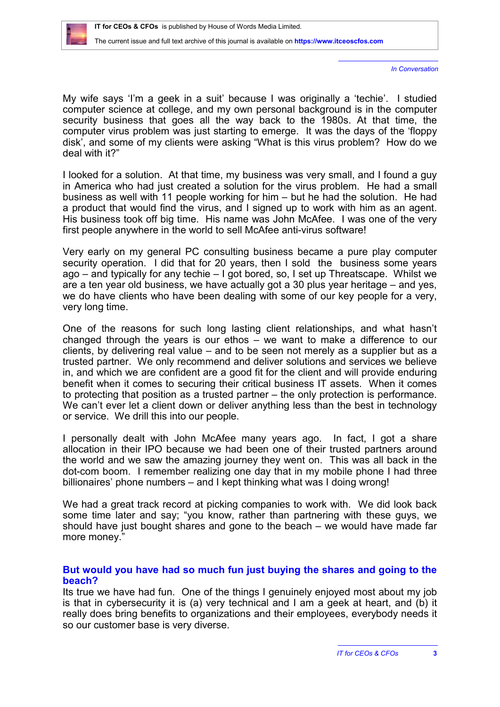*In Conversation*

My wife says 'I'm a geek in a suit' because I was originally a 'techie'. I studied computer science at college, and my own personal background is in the computer security business that goes all the way back to the 1980s. At that time, the computer virus problem was just starting to emerge. It was the days of the 'floppy disk', and some of my clients were asking "What is this virus problem? How do we deal with it?"

I looked for a solution. At that time, my business was very small, and I found a guy in America who had just created a solution for the virus problem. He had a small business as well with 11 people working for him – but he had the solution. He had a product that would find the virus, and I signed up to work with him as an agent. His business took off big time. His name was John McAfee. I was one of the very first people anywhere in the world to sell McAfee anti-virus software!

Very early on my general PC consulting business became a pure play computer security operation. I did that for 20 years, then I sold the business some years ago – and typically for any techie – I got bored, so, I set up Threatscape. Whilst we are a ten year old business, we have actually got a 30 plus year heritage – and yes, we do have clients who have been dealing with some of our key people for a very, very long time.

One of the reasons for such long lasting client relationships, and what hasn't changed through the years is our ethos – we want to make a difference to our clients, by delivering real value – and to be seen not merely as a supplier but as a trusted partner. We only recommend and deliver solutions and services we believe in, and which we are confident are a good fit for the client and will provide enduring benefit when it comes to securing their critical business IT assets. When it comes to protecting that position as a trusted partner – the only protection is performance. We can't ever let a client down or deliver anything less than the best in technology or service. We drill this into our people.

I personally dealt with John McAfee many years ago. In fact, I got a share allocation in their IPO because we had been one of their trusted partners around the world and we saw the amazing journey they went on. This was all back in the dot-com boom. I remember realizing one day that in my mobile phone I had three billionaires' phone numbers – and I kept thinking what was I doing wrong!

We had a great track record at picking companies to work with. We did look back some time later and say; "you know, rather than partnering with these guys, we should have just bought shares and gone to the beach – we would have made far more money."

### **But would you have had so much fun just buying the shares and going to the beach?**

Its true we have had fun. One of the things I genuinely enjoyed most about my job is that in cybersecurity it is (a) very technical and I am a geek at heart, and (b) it really does bring benefits to organizations and their employees, everybody needs it so our customer base is very diverse.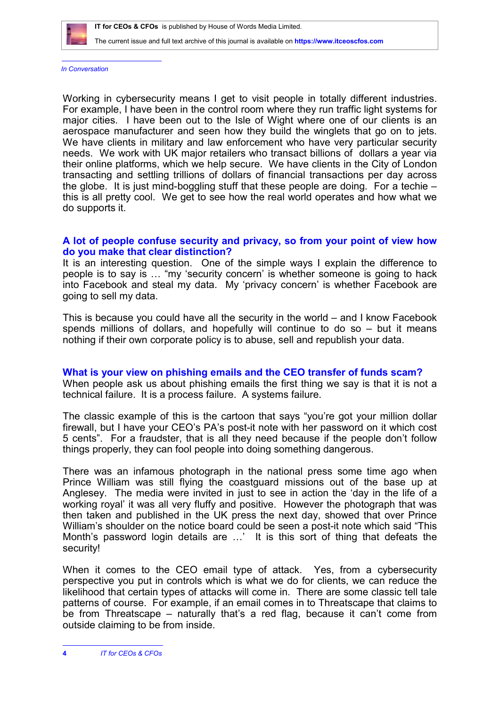

*In Conversation*

Working in cybersecurity means I get to visit people in totally different industries. For example, I have been in the control room where they run traffic light systems for major cities. I have been out to the Isle of Wight where one of our clients is an aerospace manufacturer and seen how they build the winglets that go on to jets. We have clients in military and law enforcement who have very particular security needs. We work with UK major retailers who transact billions of dollars a year via their online platforms, which we help secure. We have clients in the City of London transacting and settling trillions of dollars of financial transactions per day across the globe. It is just mind-boggling stuff that these people are doing. For a techie – this is all pretty cool. We get to see how the real world operates and how what we do supports it.

#### **A lot of people confuse security and privacy, so from your point of view how do you make that clear distinction?**

It is an interesting question. One of the simple ways I explain the difference to people is to say is … "my 'security concern' is whether someone is going to hack into Facebook and steal my data. My 'privacy concern' is whether Facebook are going to sell my data.

This is because you could have all the security in the world – and I know Facebook spends millions of dollars, and hopefully will continue to do so – but it means nothing if their own corporate policy is to abuse, sell and republish your data.

**What is your view on phishing emails and the CEO transfer of funds scam?** When people ask us about phishing emails the first thing we say is that it is not a technical failure. It is a process failure. A systems failure.

The classic example of this is the cartoon that says "you're got your million dollar firewall, but I have your CEO's PA's post-it note with her password on it which cost 5 cents". For a fraudster, that is all they need because if the people don't follow things properly, they can fool people into doing something dangerous.

There was an infamous photograph in the national press some time ago when Prince William was still flying the coastguard missions out of the base up at Anglesey. The media were invited in just to see in action the 'day in the life of a working royal' it was all very fluffy and positive. However the photograph that was then taken and published in the UK press the next day, showed that over Prince William's shoulder on the notice board could be seen a post-it note which said "This Month's password login details are …' It is this sort of thing that defeats the security!

When it comes to the CEO email type of attack. Yes, from a cybersecurity perspective you put in controls which is what we do for clients, we can reduce the likelihood that certain types of attacks will come in. There are some classic tell tale patterns of course. For example, if an email comes in to Threatscape that claims to be from Threatscape – naturally that's a red flag, because it can't come from outside claiming to be from inside.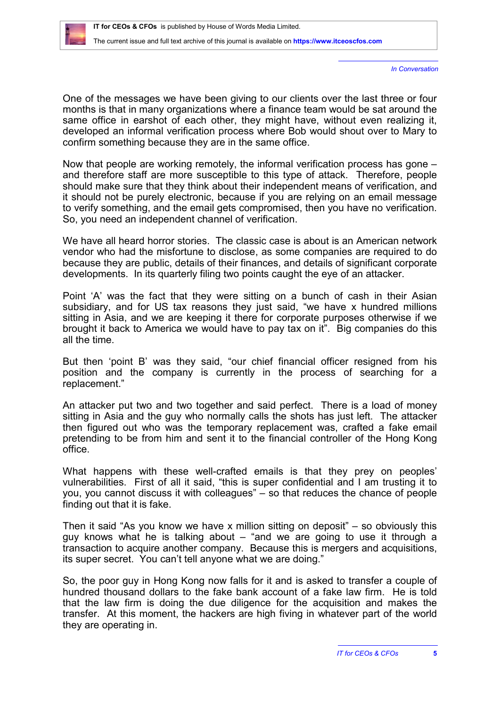*In Conversation*

One of the messages we have been giving to our clients over the last three or four months is that in many organizations where a finance team would be sat around the same office in earshot of each other, they might have, without even realizing it, developed an informal verification process where Bob would shout over to Mary to confirm something because they are in the same office.

Now that people are working remotely, the informal verification process has gone – and therefore staff are more susceptible to this type of attack. Therefore, people should make sure that they think about their independent means of verification, and it should not be purely electronic, because if you are relying on an email message to verify something, and the email gets compromised, then you have no verification. So, you need an independent channel of verification.

We have all heard horror stories. The classic case is about is an American network vendor who had the misfortune to disclose, as some companies are required to do because they are public, details of their finances, and details of significant corporate developments. In its quarterly filing two points caught the eye of an attacker.

Point 'A' was the fact that they were sitting on a bunch of cash in their Asian subsidiary, and for US tax reasons they just said, "we have x hundred millions sitting in Asia, and we are keeping it there for corporate purposes otherwise if we brought it back to America we would have to pay tax on it". Big companies do this all the time.

But then 'point B' was they said, "our chief financial officer resigned from his position and the company is currently in the process of searching for a replacement."

An attacker put two and two together and said perfect. There is a load of money sitting in Asia and the guy who normally calls the shots has just left. The attacker then figured out who was the temporary replacement was, crafted a fake email pretending to be from him and sent it to the financial controller of the Hong Kong office.

What happens with these well-crafted emails is that they prey on peoples' vulnerabilities. First of all it said, "this is super confidential and I am trusting it to you, you cannot discuss it with colleagues" – so that reduces the chance of people finding out that it is fake.

Then it said "As you know we have x million sitting on deposit" – so obviously this guy knows what he is talking about – "and we are going to use it through a transaction to acquire another company. Because this is mergers and acquisitions, its super secret. You can't tell anyone what we are doing."

So, the poor guy in Hong Kong now falls for it and is asked to transfer a couple of hundred thousand dollars to the fake bank account of a fake law firm. He is told that the law firm is doing the due diligence for the acquisition and makes the transfer. At this moment, the hackers are high fiving in whatever part of the world they are operating in.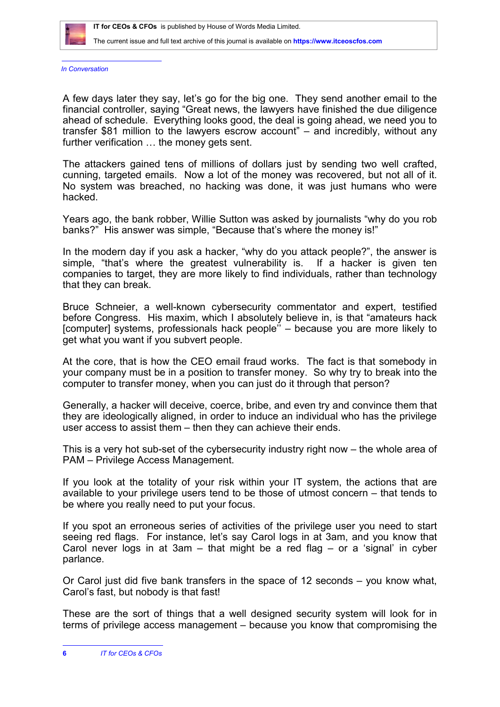

*In Conversation*

A few days later they say, let's go for the big one. They send another email to the financial controller, saying "Great news, the lawyers have finished the due diligence ahead of schedule. Everything looks good, the deal is going ahead, we need you to transfer \$81 million to the lawyers escrow account" – and incredibly, without any further verification … the money gets sent.

The attackers gained tens of millions of dollars just by sending two well crafted, cunning, targeted emails. Now a lot of the money was recovered, but not all of it. No system was breached, no hacking was done, it was just humans who were hacked.

Years ago, the bank robber, Willie Sutton was asked by journalists "why do you rob banks?" His answer was simple, "Because that's where the money is!"

In the modern day if you ask a hacker, "why do you attack people?", the answer is simple, "that's where the greatest vulnerability is. If a hacker is given ten companies to target, they are more likely to find individuals, rather than technology that they can break.

Bruce Schneier, a well-known cybersecurity commentator and expert, testified before Congress. His maxim, which I absolutely believe in, is that "amateurs hack [computer] systems, professionals hack people<sup>"</sup> – because you are more likely to get what you want if you subvert people.

At the core, that is how the CEO email fraud works. The fact is that somebody in your company must be in a position to transfer money. So why try to break into the computer to transfer money, when you can just do it through that person?

Generally, a hacker will deceive, coerce, bribe, and even try and convince them that they are ideologically aligned, in order to induce an individual who has the privilege user access to assist them – then they can achieve their ends.

This is a very hot sub-set of the cybersecurity industry right now – the whole area of PAM – Privilege Access Management.

If you look at the totality of your risk within your IT system, the actions that are available to your privilege users tend to be those of utmost concern – that tends to be where you really need to put your focus.

If you spot an erroneous series of activities of the privilege user you need to start seeing red flags. For instance, let's say Carol logs in at 3am, and you know that Carol never logs in at 3am – that might be a red flag – or a 'signal' in cyber parlance.

Or Carol just did five bank transfers in the space of 12 seconds – you know what, Carol's fast, but nobody is that fast!

These are the sort of things that a well designed security system will look for in terms of privilege access management – because you know that compromising the

**<sup>6</sup>** *IT for CEOs & CFOs*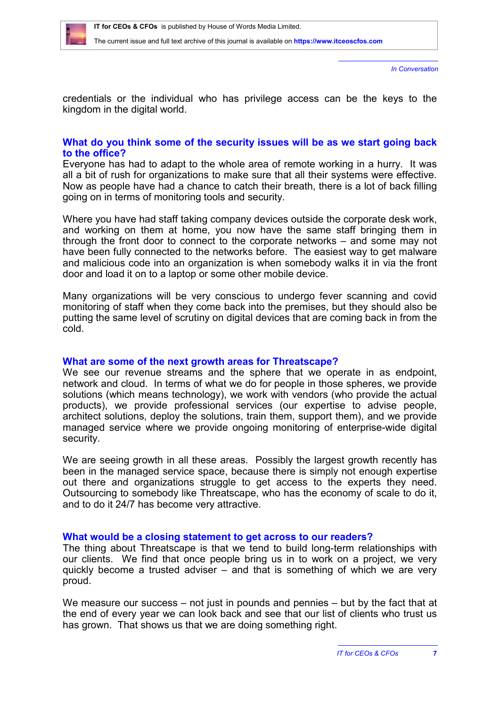

*In Conversation*

credentials or the individual who has privilege access can be the keys to the kingdom in the digital world.

#### **What do you think some of the security issues will be as we start going back to the office?**

Everyone has had to adapt to the whole area of remote working in a hurry. It was all a bit of rush for organizations to make sure that all their systems were effective. Now as people have had a chance to catch their breath, there is a lot of back filling going on in terms of monitoring tools and security.

Where you have had staff taking company devices outside the corporate desk work, and working on them at home, you now have the same staff bringing them in through the front door to connect to the corporate networks – and some may not have been fully connected to the networks before. The easiest way to get malware and malicious code into an organization is when somebody walks it in via the front door and load it on to a laptop or some other mobile device.

Many organizations will be very conscious to undergo fever scanning and covid monitoring of staff when they come back into the premises, but they should also be putting the same level of scrutiny on digital devices that are coming back in from the cold.

#### **What are some of the next growth areas for Threatscape?**

We see our revenue streams and the sphere that we operate in as endpoint. network and cloud. In terms of what we do for people in those spheres, we provide solutions (which means technology), we work with vendors (who provide the actual products), we provide professional services (our expertise to advise people, architect solutions, deploy the solutions, train them, support them), and we provide managed service where we provide ongoing monitoring of enterprise-wide digital security.

We are seeing growth in all these areas. Possibly the largest growth recently has been in the managed service space, because there is simply not enough expertise out there and organizations struggle to get access to the experts they need. Outsourcing to somebody like Threatscape, who has the economy of scale to do it, and to do it 24/7 has become very attractive.

#### **What would be a closing statement to get across to our readers?**

The thing about Threatscape is that we tend to build long-term relationships with our clients. We find that once people bring us in to work on a project, we very quickly become a trusted adviser – and that is something of which we are very proud.

We measure our success – not just in pounds and pennies – but by the fact that at the end of every year we can look back and see that our list of clients who trust us has grown. That shows us that we are doing something right.